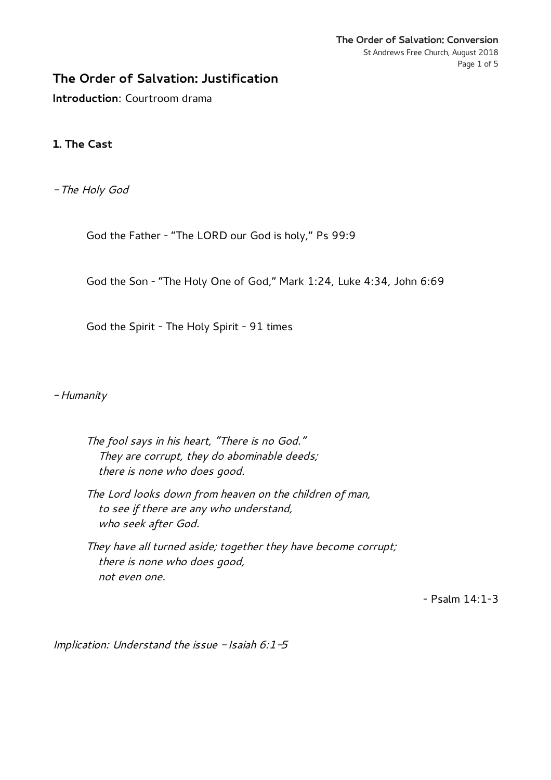## **The Order of Salvation: Justification**

**Introduction**: Courtroom drama

## **1. The Cast**

- The Holy God

God the Father - "The LORD our God is holy," Ps 99:9

God the Son - "The Holy One of God," Mark 1:24, Luke 4:34, John 6:69

God the Spirit - The Holy Spirit - 91 times

- Humanity

The fool says in his heart, "There is no God." They are corrupt, they do abominable deeds; there is none who does good.

The Lord looks down from heaven on the children of man, to see if there are any who understand, who seek after God.

They have all turned aside; together they have become corrupt; there is none who does good, not even one.

- Psalm 14:1-3

Implication: Understand the issue  $-$  Isaiah 6:1-5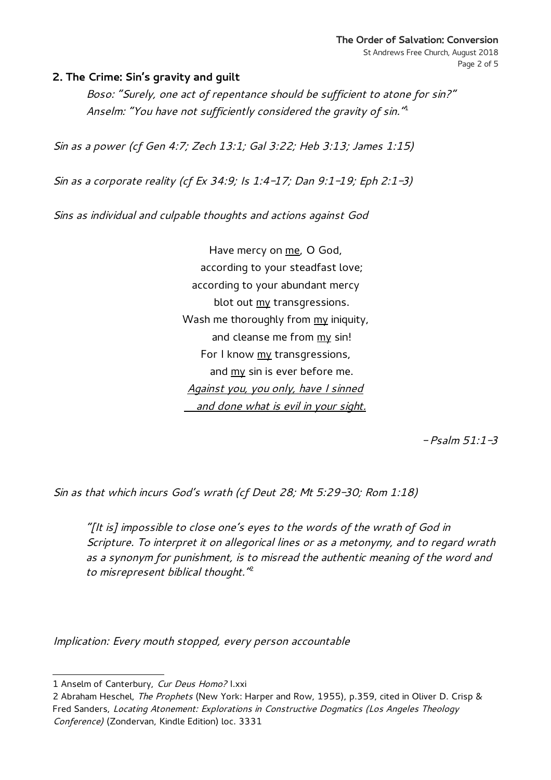## **2. The Crime: Sin's gravity and guilt**

Boso: "Surely, one act of repentance should be sufficient to atone for sin?" Anselm: "You have not sufficiently considered the gravity of sin."

Sin as a power (cf Gen 4:7; Zech 13:1; Gal 3:22; Heb 3:13; James 1:15)

Sin as a corporate reality (cf Ex 34:9; Is 1:4-17; Dan 9:1-19; Eph 2:1-3)

Sins as individual and culpable thoughts and actions against God

Have mercy on me, O God, according to your steadfast love; according to your abundant mercy blot out my transgressions. Wash me thoroughly from my iniquity, and cleanse me from my sin! For I know my transgressions, and my sin is ever before me. Against you, you only, have I sinned and done what is evil in your sight.

 $-Psalm 51:1-3$ 

Sin as that which incurs God's wrath (cf Deut 28; Mt 5:29-30; Rom 1:18)

"[It is] impossible to close one's eyes to the words of the wrath of God in Scripture. To interpret it on allegorical lines or as a metonymy, and to regard wrath as a synonym for punishment, is to misread the authentic meaning of the word and to misrepresent biblical thought."<sup>[2](#page-1-1)</sup>

Implication: Every mouth stopped, every person accountable

<span id="page-1-0"></span><sup>1</sup> Anselm of Canterbury, Cur Deus Homo? I.xxi

<span id="page-1-1"></span><sup>2</sup> Abraham Heschel, The Prophets (New York: Harper and Row, 1955), p.359, cited in Oliver D. Crisp & Fred Sanders, Locating Atonement: Explorations in Constructive Dogmatics (Los Angeles Theology Conference) (Zondervan, Kindle Edition) loc. 3331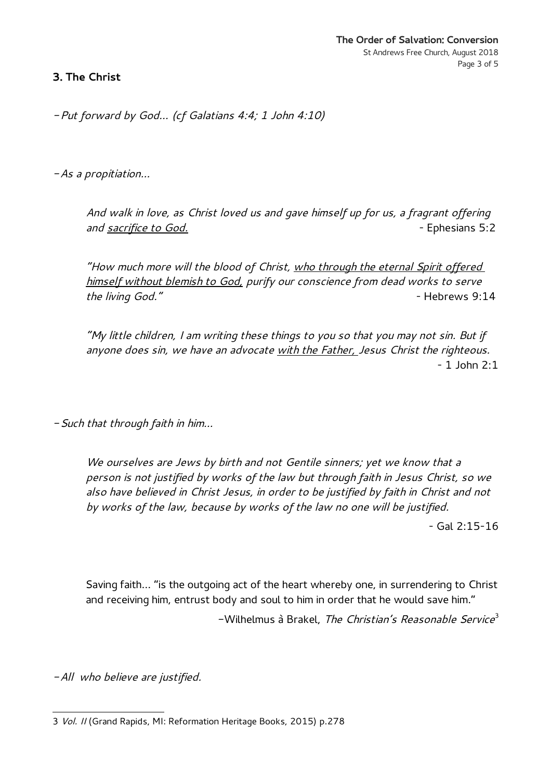**3. The Christ**

- Put forward by God… (cf Galatians 4:4; 1 John 4:10)

- As a propitiation…

And walk in love, as Christ loved us and gave himself up for us, a fragrant offering and sacrifice to God.  $\overline{a}$  = Ephesians 5:2

"How much more will the blood of Christ, who through the eternal Spirit offered himself without blemish to God, purify our conscience from dead works to serve the living God." The living God."

"My little children, I am writing these things to you so that you may not sin. But if anyone does sin, we have an advocate with the Father, Jesus Christ the righteous.  $-1$  John  $2:1$ 

- Such that through faith in him…

We ourselves are Jews by birth and not Gentile sinners; yet we know that a person is not justified by works of the law but through faith in Jesus Christ, so we also have believed in Christ Jesus, in order to be justified by faith in Christ and not by works of the law, because by works of the law no one will be justified.

- Gal 2:15-16

Saving faith… "is the outgoing act of the heart whereby one, in surrendering to Christ and receiving him, entrust body and soul to him in order that he would save him." -Wilhelmus à Brakel, *The Christian's Reasonable Service*<sup>[3](#page-2-0)</sup>

- All who believe are justified.

<span id="page-2-0"></span><sup>3</sup> Vol. II (Grand Rapids, MI: Reformation Heritage Books, 2015) p.278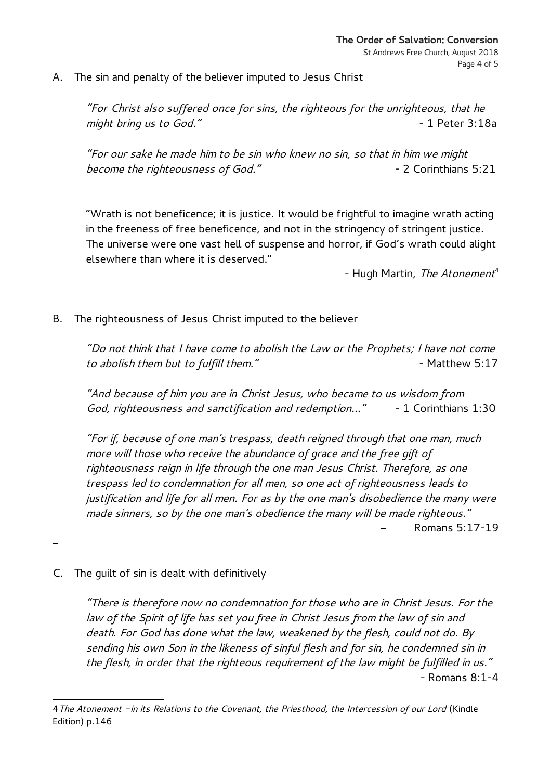A. The sin and penalty of the believer imputed to Jesus Christ

"For Christ also suffered once for sins, the righteous for the unrighteous, that he might bring us to God." The same state of the set of the 1 Peter 3:18a

"For our sake he made him to be sin who knew no sin, so that in him we might become the righteousness of God." The control of the corinthians 5:21

"Wrath is not beneficence; it is justice. It would be frightful to imagine wrath acting in the freeness of free beneficence, and not in the stringency of stringent justice. The universe were one vast hell of suspense and horror, if God's wrath could alight elsewhere than where it is deserved."

- Hugh Martin, The Atonement<sup>[4](#page-3-0)</sup>

B. The righteousness of Jesus Christ imputed to the believer

"Do not think that I have come to abolish the Law or the Prophets; I have not come to abolish them but to fulfill them." The matthew S:17

"And because of him you are in Christ Jesus, who became to us wisdom from God, righteousness and sanctification and redemption..." - 1 Corinthians 1:30

"For if, because of one man's trespass, death reigned through that one man, much more will those who receive the abundance of grace and the free gift of righteousness reign in life through the one man Jesus Christ. Therefore, as one trespass led to condemnation for all men, so one act of righteousness leads to justification and life for all men. For as by the one man's disobedience the many were made sinners, so by the one man's obedience the many will be made righteous." – Romans 5:17-19

C. The guilt of sin is dealt with definitively

–

"There is therefore now no condemnation for those who are in Christ Jesus. For the law of the Spirit of life has set you free in Christ Jesus from the law of sin and death. For God has done what the law, weakened by the flesh, could not do. By sending his own Son in the likeness of sinful flesh and for sin, he condemned sin in the flesh, in order that the righteous requirement of the law might be fulfilled in us." - Romans 8:1-4

<span id="page-3-0"></span><sup>4</sup> The Atonement - in its Relations to the Covenant, the Priesthood, the Intercession of our Lord (Kindle Edition) p.146